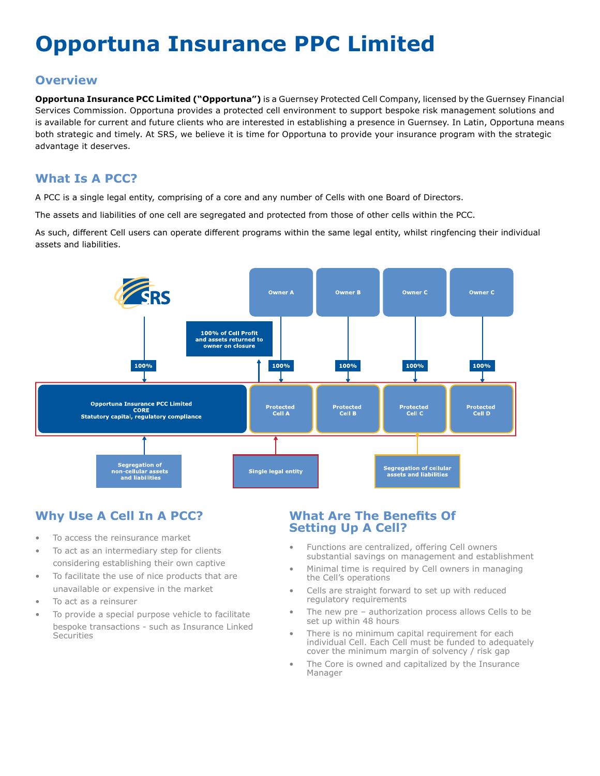# **Opportuna Insurance PPC Limited**

#### **Overview**

**Opportuna Insurance PCC Limited ("Opportuna")** is a Guernsey Protected Cell Company, licensed by the Guernsey Financial Services Commission. Opportuna provides a protected cell environment to support bespoke risk management solutions and is available for current and future clients who are interested in establishing a presence in Guernsey. In Latin, Opportuna means both strategic and timely. At SRS, we believe it is time for Opportuna to provide your insurance program with the strategic advantage it deserves.

## **What Is A PCC?**

A PCC is a single legal entity, comprising of a core and any number of Cells with one Board of Directors.

The assets and liabilities of one cell are segregated and protected from those of other cells within the PCC.

As such, different Cell users can operate different programs within the same legal entity, whilst ringfencing their individual assets and liabilities.



# **Why Use A Cell In A PCC?**

- To access the reinsurance market
- To act as an intermediary step for clients considering establishing their own captive
- To facilitate the use of nice products that are unavailable or expensive in the market
- To act as a reinsurer
- To provide a special purpose vehicle to facilitate bespoke transactions - such as Insurance Linked **Securities**

#### **What Are The Benefits Of Setting Up A Cell?**

- Functions are centralized, offering Cell owners substantial savings on management and establishment
- Minimal time is required by Cell owners in managing the Cell's operations
- Cells are straight forward to set up with reduced regulatory requirements
- The new pre authorization process allows Cells to be set up within 48 hours
- There is no minimum capital requirement for each individual Cell. Each Cell must be funded to adequately cover the minimum margin of solvency / risk gap
- The Core is owned and capitalized by the Insurance Manager